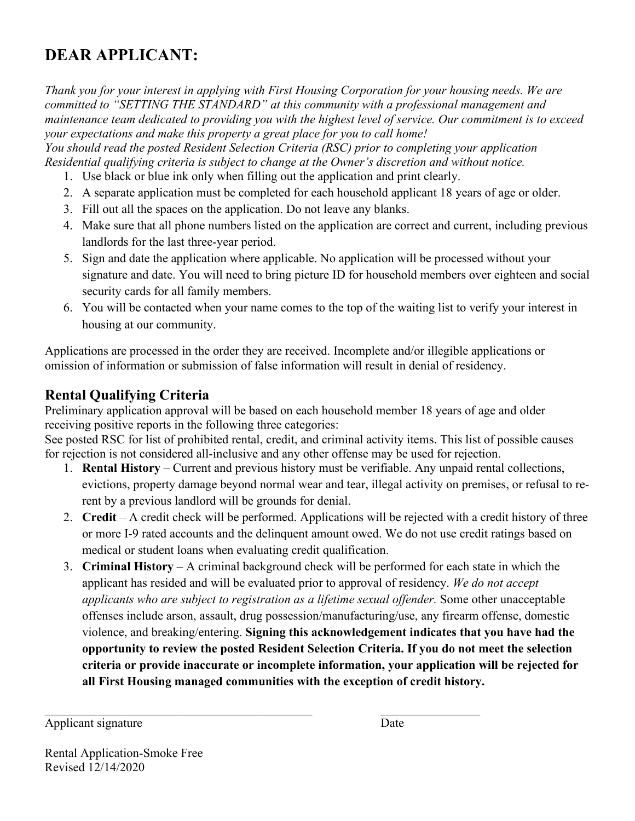# **DEAR APPLICANT:**

*Thank you for your interest in applying with First Housing Corporation for your housing needs. We are committed to "SETTING THE STANDARD" at this community with a professional management and maintenance team dedicated to providing you with the highest level of service. Our commitment is to exceed your expectations and make this property a great place for you to call home!*

*You should read the posted Resident Selection Criteria (RSC) prior to completing your application Residential qualifying criteria is subject to change at the Owner's discretion and without notice.*

- 1. Use black or blue ink only when filling out the application and print clearly.
- 2. A separate application must be completed for each household applicant 18 years of age or older.
- 3. Fill out all the spaces on the application. Do not leave any blanks.
- 4. Make sure that all phone numbers listed on the application are correct and current, including previous landlords for the last three-year period.
- 5. Sign and date the application where applicable. No application will be processed without your signature and date. You will need to bring picture ID for household members over eighteen and social security cards for all family members.
- 6. You will be contacted when your name comes to the top of the waiting list to verify your interest in housing at our community.

Applications are processed in the order they are received. Incomplete and/or illegible applications or omission of information or submission of false information will result in denial of residency.

## **Rental Qualifying Criteria**

Preliminary application approval will be based on each household member 18 years of age and older receiving positive reports in the following three categories:

See posted RSC for list of prohibited rental, credit, and criminal activity items. This list of possible causes for rejection is not considered all-inclusive and any other offense may be used for rejection.

- 1. **Rental History** Current and previous history must be verifiable. Any unpaid rental collections, evictions, property damage beyond normal wear and tear, illegal activity on premises, or refusal to rerent by a previous landlord will be grounds for denial.
- 2. **Credit** A credit check will be performed. Applications will be rejected with a credit history of three or more I-9 rated accounts and the delinquent amount owed. We do not use credit ratings based on medical or student loans when evaluating credit qualification.
- 3. **Criminal History** A criminal background check will be performed for each state in which the applicant has resided and will be evaluated prior to approval of residency. *We do not accept applicants who are subject to registration as a lifetime sexual offender.* Some other unacceptable offenses include arson, assault, drug possession/manufacturing/use, any firearm offense, domestic violence, and breaking/entering. **Signing this acknowledgement indicates that you have had the opportunity to review the posted Resident Selection Criteria. If you do not meet the selection criteria or provide inaccurate or incomplete information, your application will be rejected for all First Housing managed communities with the exception of credit history.**

Applicant signature Date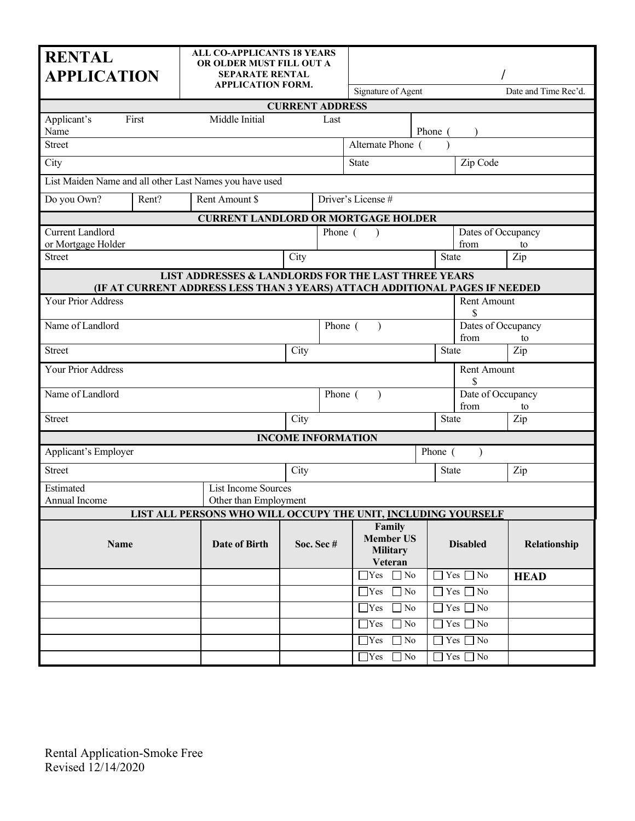| <b>RENTAL</b><br><b>APPLICATION</b>                                                                                                |                                              | <b>ALL CO-APPLICANTS 18 YEARS</b><br>OR OLDER MUST FILL OUT A<br><b>SEPARATE RENTAL</b><br><b>APPLICATION FORM.</b> |         | Signature of Agent                                       |         |                            | Date and Time Rec'd. |
|------------------------------------------------------------------------------------------------------------------------------------|----------------------------------------------|---------------------------------------------------------------------------------------------------------------------|---------|----------------------------------------------------------|---------|----------------------------|----------------------|
| <b>CURRENT ADDRESS</b>                                                                                                             |                                              |                                                                                                                     |         |                                                          |         |                            |                      |
| First<br>Applicant's<br>Name                                                                                                       | Middle Initial                               |                                                                                                                     | Last    |                                                          | Phone ( |                            |                      |
| <b>Street</b>                                                                                                                      |                                              |                                                                                                                     |         | Alternate Phone (                                        |         |                            |                      |
| City                                                                                                                               |                                              |                                                                                                                     |         | <b>State</b>                                             |         | Zip Code                   |                      |
| List Maiden Name and all other Last Names you have used                                                                            |                                              |                                                                                                                     |         |                                                          |         |                            |                      |
| Do you Own?<br>Rent?                                                                                                               | Rent Amount \$                               |                                                                                                                     |         | Driver's License #                                       |         |                            |                      |
|                                                                                                                                    | <b>CURRENT LANDLORD OR MORTGAGE HOLDER</b>   |                                                                                                                     |         |                                                          |         |                            |                      |
| <b>Current Landlord</b><br>or Mortgage Holder                                                                                      |                                              |                                                                                                                     | Phone ( | $\rightarrow$                                            |         | Dates of Occupancy<br>from | to                   |
| <b>Street</b>                                                                                                                      |                                              | City                                                                                                                |         |                                                          |         | <b>State</b>               | Zip                  |
| LIST ADDRESSES & LANDLORDS FOR THE LAST THREE YEARS<br>(IF AT CURRENT ADDRESS LESS THAN 3 YEARS) ATTACH ADDITIONAL PAGES IF NEEDED |                                              |                                                                                                                     |         |                                                          |         |                            |                      |
| Your Prior Address                                                                                                                 |                                              |                                                                                                                     |         |                                                          |         | Rent Amount<br>\$          |                      |
| Name of Landlord                                                                                                                   |                                              |                                                                                                                     | Phone ( |                                                          |         | Dates of Occupancy<br>from | to                   |
| <b>Street</b>                                                                                                                      |                                              | City                                                                                                                |         |                                                          |         | <b>State</b>               | Zip                  |
| Your Prior Address                                                                                                                 | Rent Amount<br>\$                            |                                                                                                                     |         |                                                          |         |                            |                      |
| Name of Landlord                                                                                                                   |                                              |                                                                                                                     | Phone ( |                                                          |         | Date of Occupancy<br>from  | to                   |
| <b>Street</b>                                                                                                                      |                                              | City                                                                                                                | State   |                                                          |         | Zip                        |                      |
| <b>INCOME INFORMATION</b>                                                                                                          |                                              |                                                                                                                     |         |                                                          |         |                            |                      |
| Applicant's Employer<br>Phone (<br>$\lambda$                                                                                       |                                              |                                                                                                                     |         |                                                          |         |                            |                      |
| <b>Street</b>                                                                                                                      |                                              | City                                                                                                                |         |                                                          |         | <b>State</b>               | Zip                  |
| Estimated<br>Annual Income                                                                                                         | List Income Sources<br>Other than Employment |                                                                                                                     |         |                                                          |         |                            |                      |
| LIST ALL PERSONS WHO WILL OCCUPY THE UNIT, INCLUDING YOURSELF                                                                      |                                              |                                                                                                                     |         |                                                          |         |                            |                      |
| Name                                                                                                                               | <b>Date of Birth</b>                         | Soc. Sec#                                                                                                           |         | Family<br><b>Member US</b><br><b>Military</b><br>Veteran |         | <b>Disabled</b>            | Relationship         |
|                                                                                                                                    |                                              |                                                                                                                     |         | $\Box$ Yes $\Box$ No                                     |         | $\Box$ Yes $\Box$ No       | <b>HEAD</b>          |
|                                                                                                                                    |                                              |                                                                                                                     |         | $\overline{\Box}$ No<br>$\Box$ Yes                       |         | $\Box$ Yes $\Box$ No       |                      |
|                                                                                                                                    |                                              |                                                                                                                     |         | $\exists$ Yes<br>$\Box$ No                               |         | $\Box$ Yes $\Box$ No       |                      |
|                                                                                                                                    |                                              |                                                                                                                     |         | $\gamma$<br>$\exists$ No                                 |         | $\exists$ Yes $\Box$ No    |                      |
|                                                                                                                                    |                                              |                                                                                                                     |         | $\Box$ No<br>$\Box$ Yes                                  |         | $\Box$ Yes $\Box$ No       |                      |
|                                                                                                                                    |                                              |                                                                                                                     |         | $\Box$ Yes $\Box$ No                                     |         | $\Box$ Yes $\Box$ No       |                      |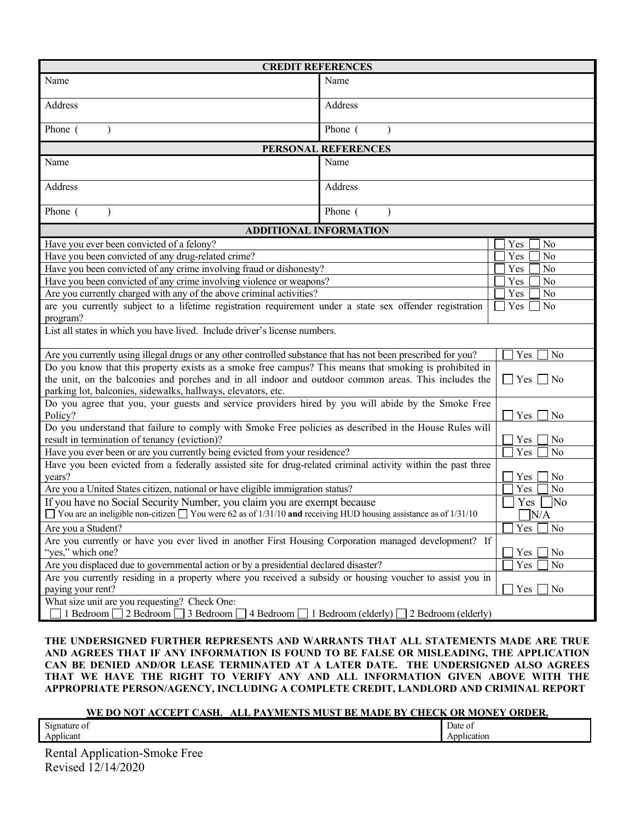| <b>CREDIT REFERENCES</b>                                                                                                                                                                                                               |                        |           |  |
|----------------------------------------------------------------------------------------------------------------------------------------------------------------------------------------------------------------------------------------|------------------------|-----------|--|
| Name                                                                                                                                                                                                                                   | Name                   |           |  |
| Address<br>Address                                                                                                                                                                                                                     |                        |           |  |
| Phone (                                                                                                                                                                                                                                | Phone (                |           |  |
|                                                                                                                                                                                                                                        | PERSONAL REFERENCES    |           |  |
| Name                                                                                                                                                                                                                                   | Name                   |           |  |
| Address                                                                                                                                                                                                                                | Address                |           |  |
| Phone (<br>$\lambda$                                                                                                                                                                                                                   | Phone (                |           |  |
| <b>ADDITIONAL INFORMATION</b>                                                                                                                                                                                                          |                        |           |  |
| Have you ever been convicted of a felony?                                                                                                                                                                                              |                        | No<br>Yes |  |
| Have you been convicted of any drug-related crime?                                                                                                                                                                                     |                        | No<br>Yes |  |
| Have you been convicted of any crime involving fraud or dishonesty?                                                                                                                                                                    |                        | No<br>Yes |  |
| Have you been convicted of any crime involving violence or weapons?                                                                                                                                                                    |                        | No<br>Yes |  |
| Are you currently charged with any of the above criminal activities?                                                                                                                                                                   |                        | No<br>Yes |  |
| are you currently subject to a lifetime registration requirement under a state sex offender registration<br>Yes<br>No<br>program?                                                                                                      |                        |           |  |
| List all states in which you have lived. Include driver's license numbers.                                                                                                                                                             |                        |           |  |
| Are you currently using illegal drugs or any other controlled substance that has not been prescribed for you?                                                                                                                          |                        | Yes<br>No |  |
| Do you know that this property exists as a smoke free campus? This means that smoking is prohibited in<br>the unit, on the balconies and porches and in all indoor and outdoor common areas. This includes the<br>$\Box$ Yes $\Box$ No |                        |           |  |
| parking lot, balconies, sidewalks, hallways, elevators, etc.                                                                                                                                                                           |                        |           |  |
| Do you agree that you, your guests and service providers hired by you will abide by the Smoke Free<br>Policy?<br>Yes<br>No                                                                                                             |                        |           |  |
| Do you understand that failure to comply with Smoke Free policies as described in the House Rules will                                                                                                                                 |                        |           |  |
| result in termination of tenancy (eviction)?                                                                                                                                                                                           | Yes<br>No<br>Yes<br>No |           |  |
| Have you ever been or are you currently being evicted from your residence?<br>Have you been evicted from a federally assisted site for drug-related criminal activity within the past three                                            |                        |           |  |
| years?<br>Yes<br>No                                                                                                                                                                                                                    |                        |           |  |
| Are you a United States citizen, national or have eligible immigration status?                                                                                                                                                         | Yes<br>No              |           |  |
| If you have no Social Security Number, you claim you are exempt because                                                                                                                                                                | ]No<br>Yes             |           |  |
| $\Box$ You are an ineligible non-citizen $\Box$ You were 62 as of 1/31/10 and receiving HUD housing assistance as of 1/31/10<br>N/A                                                                                                    |                        |           |  |
| Yes<br>No<br>Are you a Student?                                                                                                                                                                                                        |                        |           |  |
| Are you currently or have you ever lived in another First Housing Corporation managed development? If<br>"yes," which one?<br>Yes<br>No                                                                                                |                        |           |  |
| Are you displaced due to governmental action or by a presidential declared disaster?                                                                                                                                                   | Yes<br>No              |           |  |
| Are you currently residing in a property where you received a subsidy or housing voucher to assist you in                                                                                                                              |                        |           |  |
| paying your rent?<br>No<br>Yes                                                                                                                                                                                                         |                        |           |  |
| What size unit are you requesting? Check One:<br>2 Bedroom<br>4 Bedroom [<br>1 Bedroom (elderly) $\Box$ 2 Bedroom (elderly)<br>1 Bedroom<br>3 Bedroom                                                                                  |                        |           |  |
|                                                                                                                                                                                                                                        |                        |           |  |

**THE UNDERSIGNED FURTHER REPRESENTS AND WARRANTS THAT ALL STATEMENTS MADE ARE TRUE AND AGREES THAT IF ANY INFORMATION IS FOUND TO BE FALSE OR MISLEADING, THE APPLICATION CAN BE DENIED AND/OR LEASE TERMINATED AT A LATER DATE. THE UNDERSIGNED ALSO AGREES THAT WE HAVE THE RIGHT TO VERIFY ANY AND ALL INFORMATION GIVEN ABOVE WITH THE APPROPRIATE PERSON/AGENCY, INCLUDING A COMPLETE CREDIT, LANDLORD AND CRIMINAL REPORT**

#### **WE DO NOT ACCEPT CASH. ALL PAYMENTS MUST BE MADE BY CHECK OR MONEY ORDER.**

| $\sim$<br>510r<br>. allire<br>$\mathbf{U}$<br>. .        | Date<br>- U1 |
|----------------------------------------------------------|--------------|
| $\sim$ $\sim$ $\sim$ $\sim$<br>A nr<br>'<br>$\mathbf{A}$ | 10t          |

Rental Application-Smoke Free Revised 12/14/2020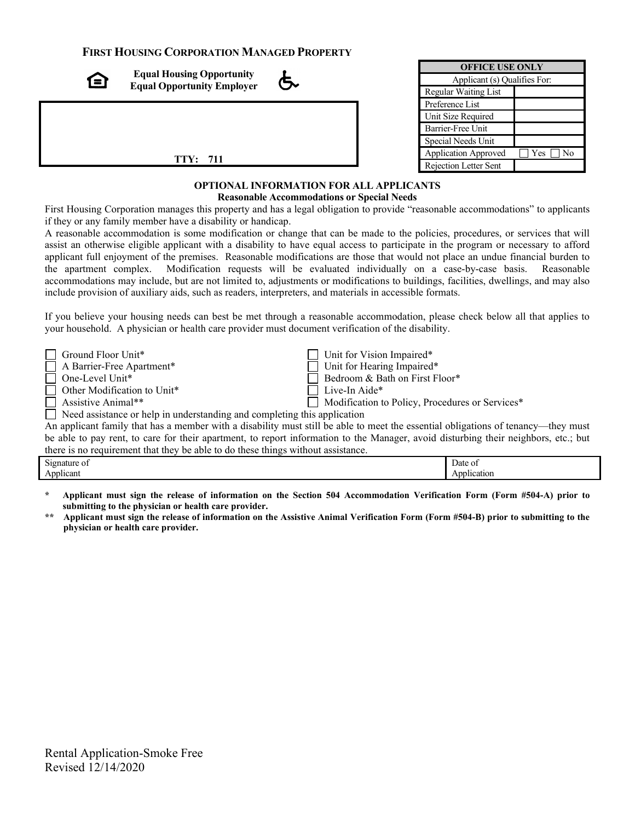#### **FIRST HOUSING CORPORATION MANAGED PROPERTY**

| 1=1 | <b>Equal Housing Opportunity</b><br><b>Equal Opportunity Employer</b> |  |
|-----|-----------------------------------------------------------------------|--|
|     |                                                                       |  |
|     | <b>TTY: 711</b>                                                       |  |

| <b>OFFICE USE ONLY</b>       |                              |  |  |
|------------------------------|------------------------------|--|--|
| Applicant (s) Qualifies For: |                              |  |  |
| Regular Waiting List         |                              |  |  |
| Preference List              |                              |  |  |
| Unit Size Required           |                              |  |  |
| <b>Barrier-Free Unit</b>     |                              |  |  |
| Special Needs Unit           |                              |  |  |
| <b>Application Approved</b>  | $Yes \Box$<br>N <sub>0</sub> |  |  |
| Rejection Letter Sent        |                              |  |  |

#### **OPTIONAL INFORMATION FOR ALL APPLICANTS Reasonable Accommodations or Special Needs**

First Housing Corporation manages this property and has a legal obligation to provide "reasonable accommodations" to applicants if they or any family member have a disability or handicap.

A reasonable accommodation is some modification or change that can be made to the policies, procedures, or services that will assist an otherwise eligible applicant with a disability to have equal access to participate in the program or necessary to afford applicant full enjoyment of the premises. Reasonable modifications are those that would not place an undue financial burden to the apartment complex. Modification requests will be evaluated individually on a case-by-case basis. Reasonable accommodations may include, but are not limited to, adjustments or modifications to buildings, facilities, dwellings, and may also include provision of auxiliary aids, such as readers, interpreters, and materials in accessible formats.

If you believe your housing needs can best be met through a reasonable accommodation, please check below all that applies to your household. A physician or health care provider must document verification of the disability.

| $\Box$ Ground Floor Unit*                                                | $\Box$ Unit for Vision Impaired*                |  |
|--------------------------------------------------------------------------|-------------------------------------------------|--|
| $\Box$ A Barrier-Free Apartment*                                         | $\Box$ Unit for Hearing Impaired*               |  |
| $\Box$ One-Level Unit*                                                   | Bedroom & Bath on First Floor*                  |  |
| $\Box$ Other Modification to Unit*                                       | $\Box$ Live-In Aide*                            |  |
| Assistive Animal**                                                       | Modification to Policy, Procedures or Services* |  |
| Need assistance or help in understanding and completing this application |                                                 |  |

An applicant family that has a member with a disability must still be able to meet the essential obligations of tenancy—they must be able to pay rent, to care for their apartment, to report information to the Manager, avoid disturbing their neighbors, etc.; but there is no requirement that they be able to do these things without assistance.

| -<br>Signature of                                |  | Date of     |
|--------------------------------------------------|--|-------------|
| the contract of the contract of the<br>Applicant |  | Application |
|                                                  |  |             |

**\* Applicant must sign the release of information on the Section 504 Accommodation Verification Form (Form #504-A) prior to submitting to the physician or health care provider.**

**\*\* Applicant must sign the release of information on the Assistive Animal Verification Form (Form #504-B) prior to submitting to the physician or health care provider.**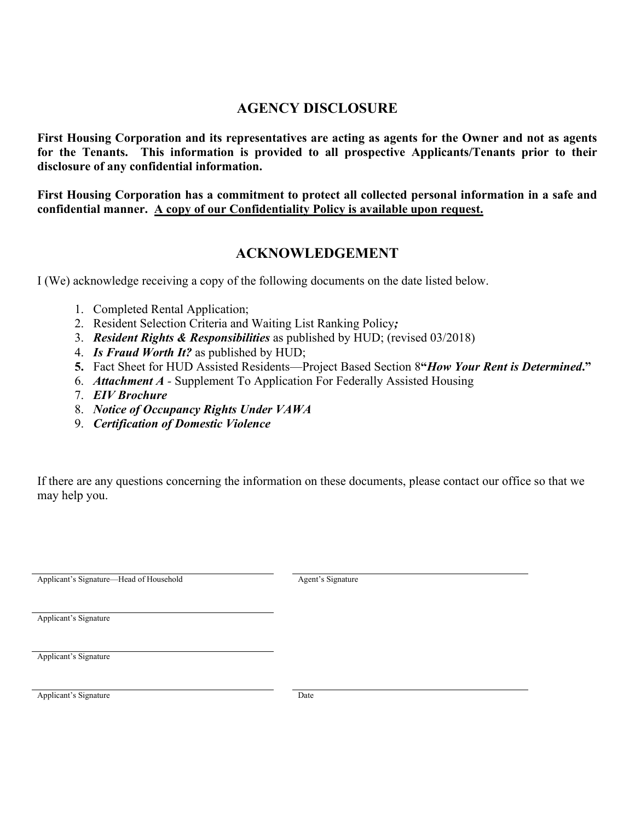### **AGENCY DISCLOSURE**

**First Housing Corporation and its representatives are acting as agents for the Owner and not as agents for the Tenants. This information is provided to all prospective Applicants/Tenants prior to their disclosure of any confidential information.**

**First Housing Corporation has a commitment to protect all collected personal information in a safe and confidential manner. A copy of our Confidentiality Policy is available upon request.**

### **ACKNOWLEDGEMENT**

I (We) acknowledge receiving a copy of the following documents on the date listed below.

- 1. Completed Rental Application;
- 2. Resident Selection Criteria and Waiting List Ranking Policy*;*
- 3. *Resident Rights & Responsibilities* as published by HUD; (revised 03/2018)
- 4. *Is Fraud Worth It?* as published by HUD;
- **5.** Fact Sheet for HUD Assisted Residents—Project Based Section 8**"***How Your Rent is Determined***."**
- 6. *Attachment A -* Supplement To Application For Federally Assisted Housing
- 7. *EIV Brochure*
- 8. *Notice of Occupancy Rights Under VAWA*
- 9. *Certification of Domestic Violence*

If there are any questions concerning the information on these documents, please contact our office so that we may help you.

Applicant's Signature—Head of Household Agent's Signature

Applicant's Signature

Applicant's Signature

Applicant's Signature Date